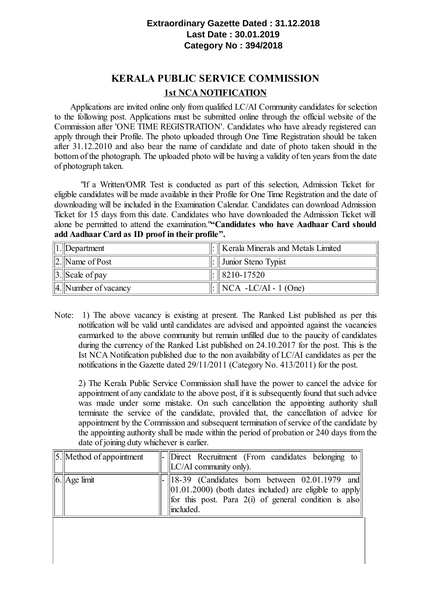## **Extraordinary Gazette Dated : 31.12.2018 Last Date : 30.01.2019 Category No : 394/2018**

## **KERALA PUBLIC SERVICE COMMISSION 1st NCA NOTIFICATION**

Applications are invited online only from qualified LC/AI Community candidates for selection to the following post. Applications must be submitted online through the official website of the Commission after 'ONE TIME REGISTRATION'. Candidates who have already registered can apply through their Profile. The photo uploaded through One Time Registration should be taken after 31.12.2010 and also bear the name of candidate and date of photo taken should in the bottom of the photograph. The uploaded photo will be having a validity of ten years from the date of photograph taken.

"If a Written/OMR Test is conducted as part of this selection, Admission Ticket for eligible candidates will be made available in their Profile for One Time Registration and the date of downloading will be included in the Examination Calendar. Candidates can download Admission Ticket for 15 days from this date. Candidates who have downloaded the Admission Ticket will alone be permitted to attend the examination."**"Candidates who have Aadhaar Card should add Aadhaar Card as ID proof in their profile".**

| $  1.  $ Department        | $\Vert$ : $\Vert$ Kerala Minerals and Metals Limited |
|----------------------------|------------------------------------------------------|
| $  2.  $ Name of Post      | $\parallel$ : $\parallel$ Junior Steno Typist        |
| $\ 3.\ $ Scale of pay      | $\parallel$ :    8210-17520                          |
| $\ 4.\ $ Number of vacancy | $\parallel$ : $\parallel$ NCA -LC/AI - 1 (One)       |

Note: 1) The above vacancy is existing at present. The Ranked List published as per this notification will be valid until candidates are advised and appointed against the vacancies earmarked to the above community but remain unfilled due to the paucity of candidates during the currency of the Ranked List published on 24.10.2017 for the post. This is the Ist NCA Notification published due to the non availability of LC/AI candidates as per the notifications in the Gazette dated 29/11/2011 (Category No. 413/2011) for the post.

2) The Kerala Public Service Commission shall have the power to cancel the advice for appointment of any candidate to the above post, if it is subsequently found that such advice was made under some mistake. On such cancellation the appointing authority shall terminate the service of the candidate, provided that, the cancellation of advice for appointment by the Commission and subsequent termination ofservice of the candidate by the appointing authority shall be made within the period of probation or 240 days from the date of joining duty whichever is earlier.

| $\ 5$ . Method of appointment | $\ $ - Direct Recruitment (From candidates belonging to $\ $<br>$\parallel$ LC/AI community only).                                                                                                         |
|-------------------------------|------------------------------------------------------------------------------------------------------------------------------------------------------------------------------------------------------------|
| $\ 6.\ $ Age $\lim$ it        | $\ 18-39\ $ (Candidates born between 02.01.1979 and<br>$\ 01.01.2000\ $ (both dates included) are eligible to apply<br>   for this post. Para $2(i)$ of general condition is also<br>$\parallel$ included. |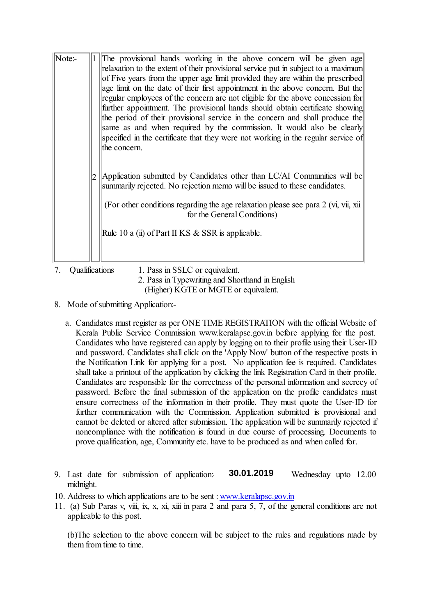| Note:- | The provisional hands working in the above concern will be given age<br>relaxation to the extent of their provisional service put in subject to a maximum<br>of Five years from the upper age limit provided they are within the prescribed<br>age limit on the date of their first appointment in the above concern. But the<br>regular employees of the concern are not eligible for the above concession for<br>further appointment. The provisional hands should obtain certificate showing<br>the period of their provisional service in the concern and shall produce the<br>same as and when required by the commission. It would also be clearly<br>specified in the certificate that they were not working in the regular service of<br>the concern. |
|--------|---------------------------------------------------------------------------------------------------------------------------------------------------------------------------------------------------------------------------------------------------------------------------------------------------------------------------------------------------------------------------------------------------------------------------------------------------------------------------------------------------------------------------------------------------------------------------------------------------------------------------------------------------------------------------------------------------------------------------------------------------------------|
|        | Application submitted by Candidates other than LC/AI Communities will be<br>summarily rejected. No rejection memo will be issued to these candidates.<br>(For other conditions regarding the age relaxation please see para 2 (vi, vii, xii)<br>for the General Conditions)<br>Rule 10 a (ii) of Part II KS & SSR is applicable.                                                                                                                                                                                                                                                                                                                                                                                                                              |

## 7. Qualifications 1. Pass in SSLC or equivalent.

2. Pass in Typewriting and Shorthand in English (Higher) KGTE or MGTE or equivalent.

- 8. Mode of submitting Application:
	- a. Candidates must register as per ONE TIME REGISTRATION with the official Website of Kerala Public Service Commission www.keralapsc.gov.in before applying for the post. Candidates who have registered can apply by logging on to their profile using their User-ID and password. Candidates shall click on the 'Apply Now' button of the respective posts in the Notification Link for applying for a post. No application fee is required. Candidates shall take a printout of the application by clicking the link Registration Card in their profile. Candidates are responsible for the correctness of the personal information and secrecy of password. Before the final submission of the application on the profile candidates must ensure correctness of the information in their profile. They must quote the User-ID for further communication with the Commission. Application submitted is provisional and cannot be deleted or altered after submission. The application will be summarily rejected if noncompliance with the notification is found in due course of processing. Documents to prove qualification, age, Community etc. have to be produced as and when called for.
- 9. Last date for submission of application:  $\frac{30.01.2019}{20.01.2019}$  Wednesday upto 12.00 midnight.  **30.01.2019**
- 10. Address to which applications are to be sent : [www.keralapsc.gov.in](file:///Uploads/EFILE/FileUploads/draftversion/pdf/www.keralapsc.gov.in)
- 11. (a) Sub Paras v, viii, ix, x, xi, xiii in para 2 and para 5, 7, of the general conditions are not applicable to this post.

(b)The selection to the above concern will be subject to the rules and regulations made by them from time to time.